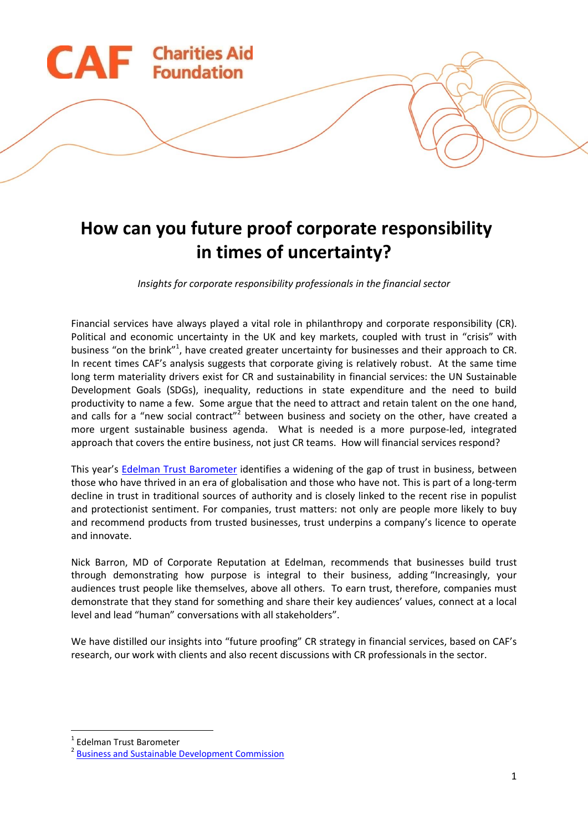

# **How can you future proof corporate responsibility in times of uncertainty?**

*Insights for corporate responsibility professionals in the financial sector*

Financial services have always played a vital role in philanthropy and corporate responsibility (CR). Political and economic uncertainty in the UK and key markets, coupled with trust in "crisis" with business "on the brink"<sup>1</sup>, have created greater uncertainty for businesses and their approach to CR. In recent times CAF's analysis suggests that corporate giving is relatively robust. At the same time long term materiality drivers exist for CR and sustainability in financial services: the UN Sustainable Development Goals (SDGs), inequality, reductions in state expenditure and the need to build productivity to name a few. Some argue that the need to attract and retain talent on the one hand, and calls for a "new social contract"<sup>2</sup> between business and society on the other, have created a more urgent sustainable business agenda. What is needed is a more purpose-led, integrated approach that covers the entire business, not just CR teams. How will financial services respond?

This year's [Edelman Trust Barometer](http://www.edelman.com/trust2017/) identifies a widening of the gap of trust in business, between those who have thrived in an era of globalisation and those who have not. This is part of a long-term decline in trust in traditional sources of authority and is closely linked to the recent rise in populist and protectionist sentiment. For companies, trust matters: not only are people more likely to buy and recommend products from trusted businesses, trust underpins a company's licence to operate and innovate.

Nick Barron, MD of Corporate Reputation at Edelman, recommends that businesses build trust through demonstrating how purpose is integral to their business, adding "Increasingly, your audiences trust people like themselves, above all others. To earn trust, therefore, companies must demonstrate that they stand for something and share their key audiences' values, connect at a local level and lead "human" conversations with all stakeholders".

We have distilled our insights into "future proofing" CR strategy in financial services, based on CAF's research, our work with clients and also recent discussions with CR professionals in the sector.

1 Edelman Trust Barometer

**.** 

<sup>&</sup>lt;sup>2</sup> Business and Sustainable Development Commission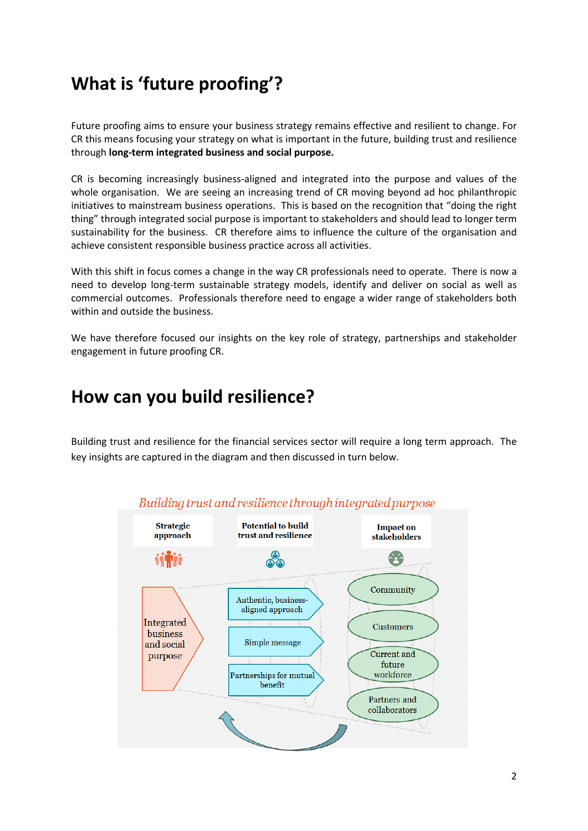# **What is 'future proofing'?**

Future proofing aims to ensure your business strategy remains effective and resilient to change. For CR this means focusing your strategy on what is important in the future, building trust and resilience through **long-term integrated business and social purpose.**

CR is becoming increasingly business-aligned and integrated into the purpose and values of the whole organisation. We are seeing an increasing trend of CR moving beyond ad hoc philanthropic initiatives to mainstream business operations. This is based on the recognition that "doing the right thing" through integrated social purpose is important to stakeholders and should lead to longer term sustainability for the business. CR therefore aims to influence the culture of the organisation and achieve consistent responsible business practice across all activities.

With this shift in focus comes a change in the way CR professionals need to operate. There is now a need to develop long-term sustainable strategy models, identify and deliver on social as well as commercial outcomes. Professionals therefore need to engage a wider range of stakeholders both within and outside the business.

We have therefore focused our insights on the key role of strategy, partnerships and stakeholder engagement in future proofing CR.

## **How can you build resilience?**

Building trust and resilience for the financial services sector will require a long term approach. The key insights are captured in the diagram and then discussed in turn below.



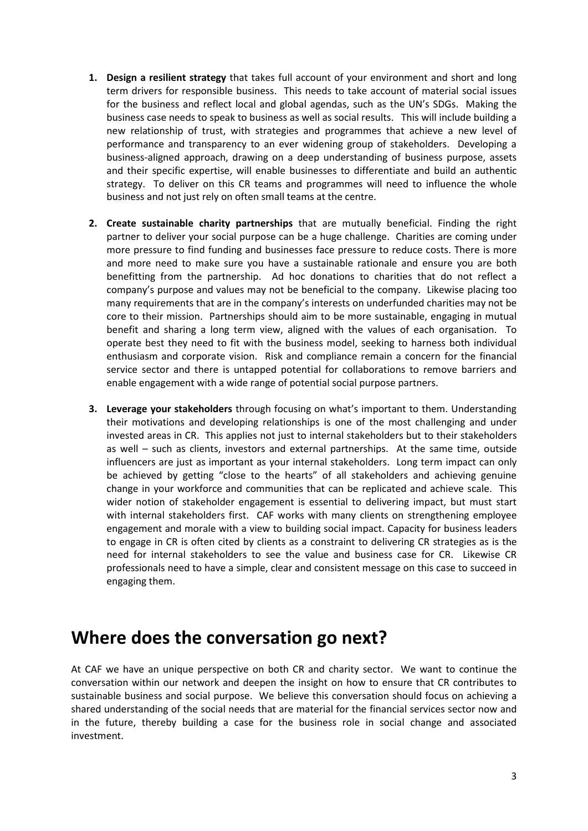- **1. Design a resilient strategy** that takes full account of your environment and short and long term drivers for responsible business. This needs to take account of material social issues for the business and reflect local and global agendas, such as the UN's SDGs. Making the business case needs to speak to business as well as social results. This will include building a new relationship of trust, with strategies and programmes that achieve a new level of performance and transparency to an ever widening group of stakeholders. Developing a business-aligned approach, drawing on a deep understanding of business purpose, assets and their specific expertise, will enable businesses to differentiate and build an authentic strategy. To deliver on this CR teams and programmes will need to influence the whole business and not just rely on often small teams at the centre.
- **2. Create sustainable charity partnerships** that are mutually beneficial. Finding the right partner to deliver your social purpose can be a huge challenge. Charities are coming under more pressure to find funding and businesses face pressure to reduce costs. There is more and more need to make sure you have a sustainable rationale and ensure you are both benefitting from the partnership. Ad hoc donations to charities that do not reflect a company's purpose and values may not be beneficial to the company. Likewise placing too many requirements that are in the company's interests on underfunded charities may not be core to their mission. Partnerships should aim to be more sustainable, engaging in mutual benefit and sharing a long term view, aligned with the values of each organisation. To operate best they need to fit with the business model, seeking to harness both individual enthusiasm and corporate vision. Risk and compliance remain a concern for the financial service sector and there is untapped potential for collaborations to remove barriers and enable engagement with a wide range of potential social purpose partners.
- **3. Leverage your stakeholders** through focusing on what's important to them. Understanding their motivations and developing relationships is one of the most challenging and under invested areas in CR. This applies not just to internal stakeholders but to their stakeholders as well – such as clients, investors and external partnerships. At the same time, outside influencers are just as important as your internal stakeholders. Long term impact can only be achieved by getting "close to the hearts" of all stakeholders and achieving genuine change in your workforce and communities that can be replicated and achieve scale. This wider notion of stakeholder engagement is essential to delivering impact, but must start with internal stakeholders first. CAF works with many clients on strengthening employee engagement and morale with a view to building social impact. Capacity for business leaders to engage in CR is often cited by clients as a constraint to delivering CR strategies as is the need for internal stakeholders to see the value and business case for CR. Likewise CR professionals need to have a simple, clear and consistent message on this case to succeed in engaging them.

#### **Where does the conversation go next?**

At CAF we have an unique perspective on both CR and charity sector. We want to continue the conversation within our network and deepen the insight on how to ensure that CR contributes to sustainable business and social purpose. We believe this conversation should focus on achieving a shared understanding of the social needs that are material for the financial services sector now and in the future, thereby building a case for the business role in social change and associated investment.